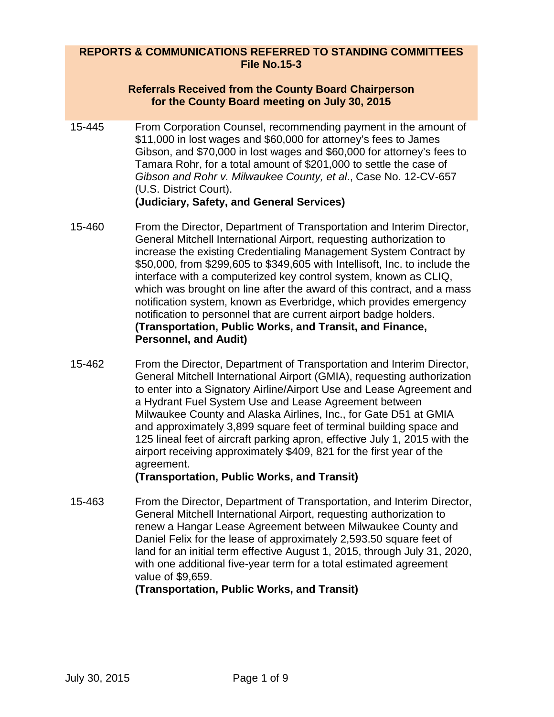#### **REPORTS & COMMUNICATIONS REFERRED TO STANDING COMMITTEES File No.15-3**

#### **Referrals Received from the County Board Chairperson for the County Board meeting on July 30, 2015**

- 15-445 From Corporation Counsel, recommending payment in the amount of \$11,000 in lost wages and \$60,000 for attorney's fees to James Gibson, and \$70,000 in lost wages and \$60,000 for attorney's fees to Tamara Rohr, for a total amount of \$201,000 to settle the case of *Gibson and Rohr v. Milwaukee County, et al*., Case No. 12-CV-657 (U.S. District Court). **(Judiciary, Safety, and General Services)**
- 15-460 From the Director, Department of Transportation and Interim Director, General Mitchell International Airport, requesting authorization to increase the existing Credentialing Management System Contract by \$50,000, from \$299,605 to \$349,605 with Intellisoft, Inc. to include the interface with a computerized key control system, known as CLIQ, which was brought on line after the award of this contract, and a mass notification system, known as Everbridge, which provides emergency notification to personnel that are current airport badge holders. **(Transportation, Public Works, and Transit, and Finance, Personnel, and Audit)**
- 15-462 From the Director, Department of Transportation and Interim Director, General Mitchell International Airport (GMIA), requesting authorization to enter into a Signatory Airline/Airport Use and Lease Agreement and a Hydrant Fuel System Use and Lease Agreement between Milwaukee County and Alaska Airlines, Inc., for Gate D51 at GMIA and approximately 3,899 square feet of terminal building space and 125 lineal feet of aircraft parking apron, effective July 1, 2015 with the airport receiving approximately \$409, 821 for the first year of the agreement.

#### **(Transportation, Public Works, and Transit)**

15-463 From the Director, Department of Transportation, and Interim Director, General Mitchell International Airport, requesting authorization to renew a Hangar Lease Agreement between Milwaukee County and Daniel Felix for the lease of approximately 2,593.50 square feet of land for an initial term effective August 1, 2015, through July 31, 2020, with one additional five-year term for a total estimated agreement value of \$9,659.

**(Transportation, Public Works, and Transit)**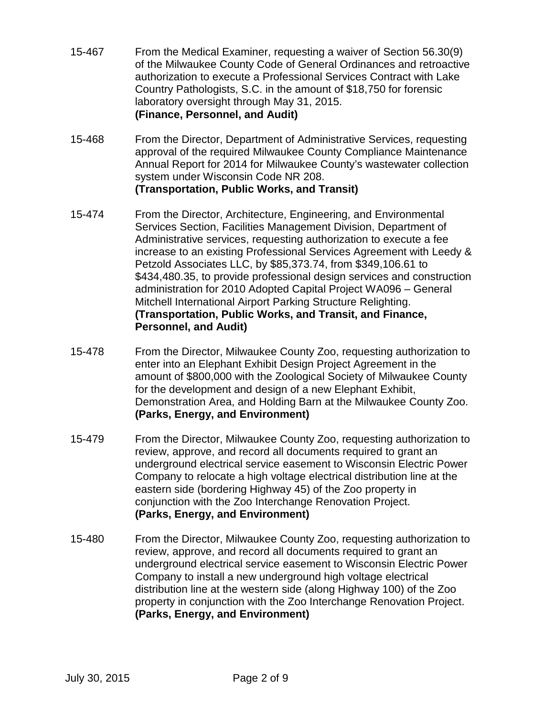- 15-467 From the Medical Examiner, requesting a waiver of Section 56.30(9) of the Milwaukee County Code of General Ordinances and retroactive authorization to execute a Professional Services Contract with Lake Country Pathologists, S.C. in the amount of \$18,750 for forensic laboratory oversight through May 31, 2015. **(Finance, Personnel, and Audit)**
- 15-468 From the Director, Department of Administrative Services, requesting approval of the required Milwaukee County Compliance Maintenance Annual Report for 2014 for Milwaukee County's wastewater collection system under Wisconsin Code NR 208. **(Transportation, Public Works, and Transit)**
- 15-474 From the Director, Architecture, Engineering, and Environmental Services Section, Facilities Management Division, Department of Administrative services, requesting authorization to execute a fee increase to an existing Professional Services Agreement with Leedy & Petzold Associates LLC, by \$85,373.74, from \$349,106.61 to \$434,480.35, to provide professional design services and construction administration for 2010 Adopted Capital Project WA096 – General Mitchell International Airport Parking Structure Relighting. **(Transportation, Public Works, and Transit, and Finance, Personnel, and Audit)**
- 15-478 From the Director, Milwaukee County Zoo, requesting authorization to enter into an Elephant Exhibit Design Project Agreement in the amount of \$800,000 with the Zoological Society of Milwaukee County for the development and design of a new Elephant Exhibit, Demonstration Area, and Holding Barn at the Milwaukee County Zoo. **(Parks, Energy, and Environment)**
- 15-479 From the Director, Milwaukee County Zoo, requesting authorization to review, approve, and record all documents required to grant an underground electrical service easement to Wisconsin Electric Power Company to relocate a high voltage electrical distribution line at the eastern side (bordering Highway 45) of the Zoo property in conjunction with the Zoo Interchange Renovation Project. **(Parks, Energy, and Environment)**
- 15-480 From the Director, Milwaukee County Zoo, requesting authorization to review, approve, and record all documents required to grant an underground electrical service easement to Wisconsin Electric Power Company to install a new underground high voltage electrical distribution line at the western side (along Highway 100) of the Zoo property in conjunction with the Zoo Interchange Renovation Project. **(Parks, Energy, and Environment)**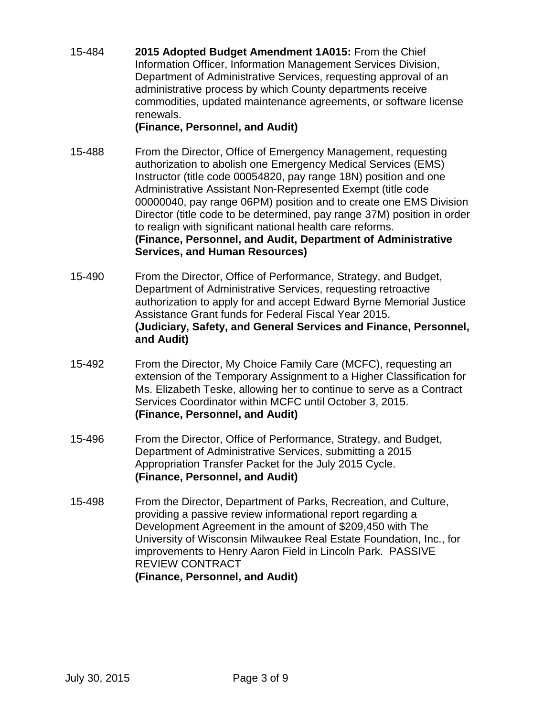15-484 **2015 Adopted Budget Amendment 1A015:** From the Chief Information Officer, Information Management Services Division, Department of Administrative Services, requesting approval of an administrative process by which County departments receive commodities, updated maintenance agreements, or software license renewals.

### **(Finance, Personnel, and Audit)**

- 15-488 From the Director, Office of Emergency Management, requesting authorization to abolish one Emergency Medical Services (EMS) Instructor (title code 00054820, pay range 18N) position and one Administrative Assistant Non-Represented Exempt (title code 00000040, pay range 06PM) position and to create one EMS Division Director (title code to be determined, pay range 37M) position in order to realign with significant national health care reforms. **(Finance, Personnel, and Audit, Department of Administrative Services, and Human Resources)**
- 15-490 From the Director, Office of Performance, Strategy, and Budget, Department of Administrative Services, requesting retroactive authorization to apply for and accept Edward Byrne Memorial Justice Assistance Grant funds for Federal Fiscal Year 2015. **(Judiciary, Safety, and General Services and Finance, Personnel, and Audit)**
- 15-492 From the Director, My Choice Family Care (MCFC), requesting an extension of the Temporary Assignment to a Higher Classification for Ms. Elizabeth Teske, allowing her to continue to serve as a Contract Services Coordinator within MCFC until October 3, 2015. **(Finance, Personnel, and Audit)**
- 15-496 From the Director, Office of Performance, Strategy, and Budget, Department of Administrative Services, submitting a 2015 Appropriation Transfer Packet for the July 2015 Cycle. **(Finance, Personnel, and Audit)**
- 15-498 From the Director, Department of Parks, Recreation, and Culture, providing a passive review informational report regarding a Development Agreement in the amount of \$209,450 with The University of Wisconsin Milwaukee Real Estate Foundation, Inc., for improvements to Henry Aaron Field in Lincoln Park. PASSIVE REVIEW CONTRACT **(Finance, Personnel, and Audit)**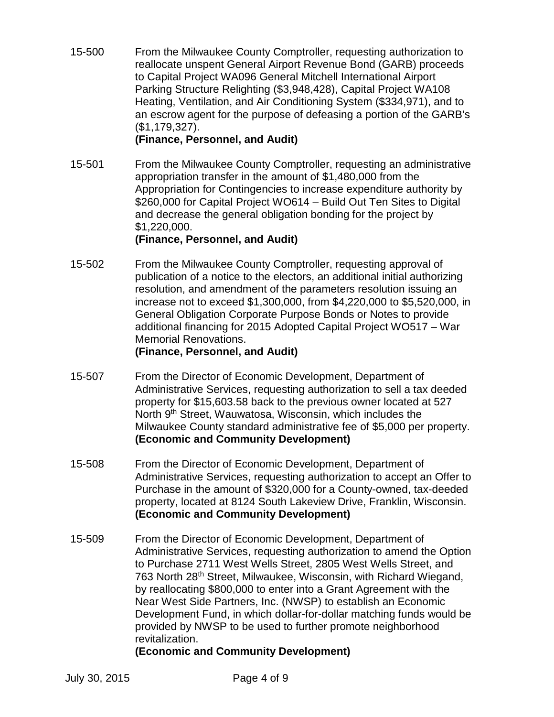15-500 From the Milwaukee County Comptroller, requesting authorization to reallocate unspent General Airport Revenue Bond (GARB) proceeds to Capital Project WA096 General Mitchell International Airport Parking Structure Relighting (\$3,948,428), Capital Project WA108 Heating, Ventilation, and Air Conditioning System (\$334,971), and to an escrow agent for the purpose of defeasing a portion of the GARB's (\$1,179,327).

#### **(Finance, Personnel, and Audit)**

15-501 From the Milwaukee County Comptroller, requesting an administrative appropriation transfer in the amount of \$1,480,000 from the Appropriation for Contingencies to increase expenditure authority by \$260,000 for Capital Project WO614 – Build Out Ten Sites to Digital and decrease the general obligation bonding for the project by \$1,220,000.

#### **(Finance, Personnel, and Audit)**

15-502 From the Milwaukee County Comptroller, requesting approval of publication of a notice to the electors, an additional initial authorizing resolution, and amendment of the parameters resolution issuing an increase not to exceed \$1,300,000, from \$4,220,000 to \$5,520,000, in General Obligation Corporate Purpose Bonds or Notes to provide additional financing for 2015 Adopted Capital Project WO517 – War Memorial Renovations.

### **(Finance, Personnel, and Audit)**

- 15-507 From the Director of Economic Development, Department of Administrative Services, requesting authorization to sell a tax deeded property for \$15,603.58 back to the previous owner located at 527 North 9<sup>th</sup> Street, Wauwatosa, Wisconsin, which includes the Milwaukee County standard administrative fee of \$5,000 per property. **(Economic and Community Development)**
- 15-508 From the Director of Economic Development, Department of Administrative Services, requesting authorization to accept an Offer to Purchase in the amount of \$320,000 for a County-owned, tax-deeded property, located at 8124 South Lakeview Drive, Franklin, Wisconsin. **(Economic and Community Development)**
- 15-509 From the Director of Economic Development, Department of Administrative Services, requesting authorization to amend the Option to Purchase 2711 West Wells Street, 2805 West Wells Street, and 763 North 28th Street, Milwaukee, Wisconsin, with Richard Wiegand, by reallocating \$800,000 to enter into a Grant Agreement with the Near West Side Partners, Inc. (NWSP) to establish an Economic Development Fund, in which dollar-for-dollar matching funds would be provided by NWSP to be used to further promote neighborhood revitalization.

## **(Economic and Community Development)**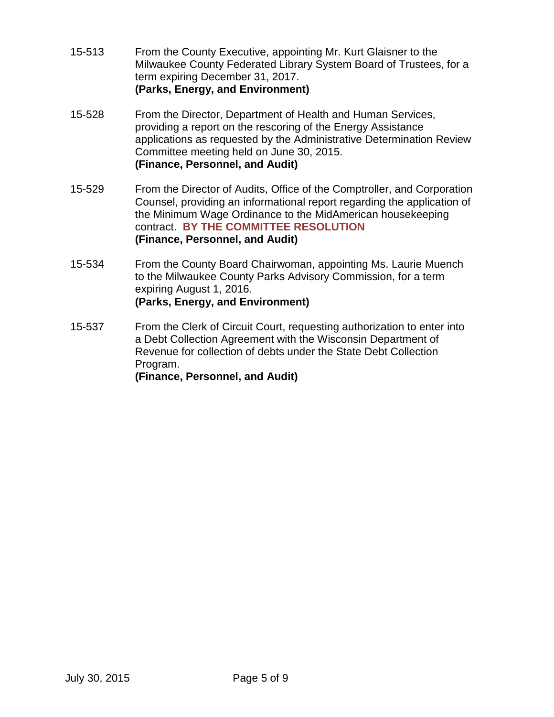- 15-513 From the County Executive, appointing Mr. Kurt Glaisner to the Milwaukee County Federated Library System Board of Trustees, for a term expiring December 31, 2017. **(Parks, Energy, and Environment)**
- 15-528 From the Director, Department of Health and Human Services, providing a report on the rescoring of the Energy Assistance applications as requested by the Administrative Determination Review Committee meeting held on June 30, 2015. **(Finance, Personnel, and Audit)**
- 15-529 From the Director of Audits, Office of the Comptroller, and Corporation Counsel, providing an informational report regarding the application of the Minimum Wage Ordinance to the MidAmerican housekeeping contract. **BY THE COMMITTEE RESOLUTION (Finance, Personnel, and Audit)**
- 15-534 From the County Board Chairwoman, appointing Ms. Laurie Muench to the Milwaukee County Parks Advisory Commission, for a term expiring August 1, 2016. **(Parks, Energy, and Environment)**
- 15-537 From the Clerk of Circuit Court, requesting authorization to enter into a Debt Collection Agreement with the Wisconsin Department of Revenue for collection of debts under the State Debt Collection Program. **(Finance, Personnel, and Audit)**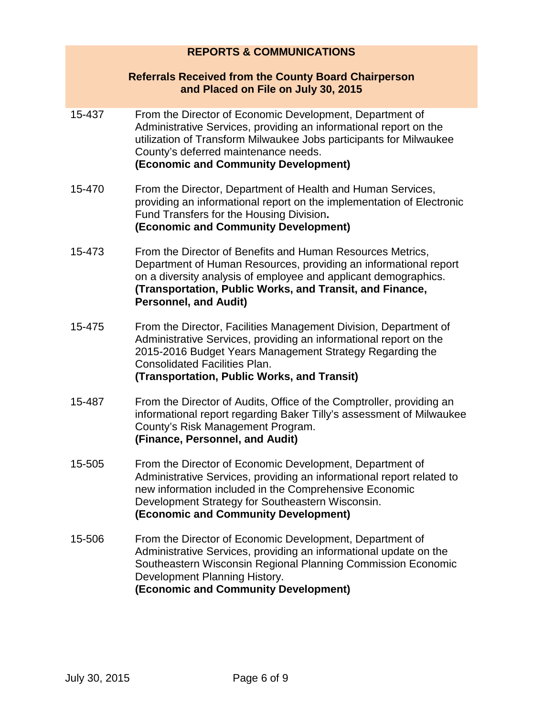# **REPORTS & COMMUNICATIONS Referrals Received from the County Board Chairperson and Placed on File on July 30, 2015** 15-437 From the Director of Economic Development, Department of Administrative Services, providing an informational report on the utilization of Transform Milwaukee Jobs participants for Milwaukee County's deferred maintenance needs. **(Economic and Community Development)** 15-470 From the Director, Department of Health and Human Services, providing an informational report on the implementation of Electronic Fund Transfers for the Housing Division**. (Economic and Community Development)** 15-473 From the Director of Benefits and Human Resources Metrics, Department of Human Resources, providing an informational report on a diversity analysis of employee and applicant demographics. **(Transportation, Public Works, and Transit, and Finance, Personnel, and Audit)** 15-475 From the Director, Facilities Management Division, Department of Administrative Services, providing an informational report on the 2015-2016 Budget Years Management Strategy Regarding the Consolidated Facilities Plan. **(Transportation, Public Works, and Transit)** 15-487 From the Director of Audits, Office of the Comptroller, providing an informational report regarding Baker Tilly's assessment of Milwaukee County's Risk Management Program. **(Finance, Personnel, and Audit)** 15-505 From the Director of Economic Development, Department of Administrative Services, providing an informational report related to new information included in the Comprehensive Economic Development Strategy for Southeastern Wisconsin. **(Economic and Community Development)** 15-506 From the Director of Economic Development, Department of

Administrative Services, providing an informational update on the Southeastern Wisconsin Regional Planning Commission Economic Development Planning History. **(Economic and Community Development)**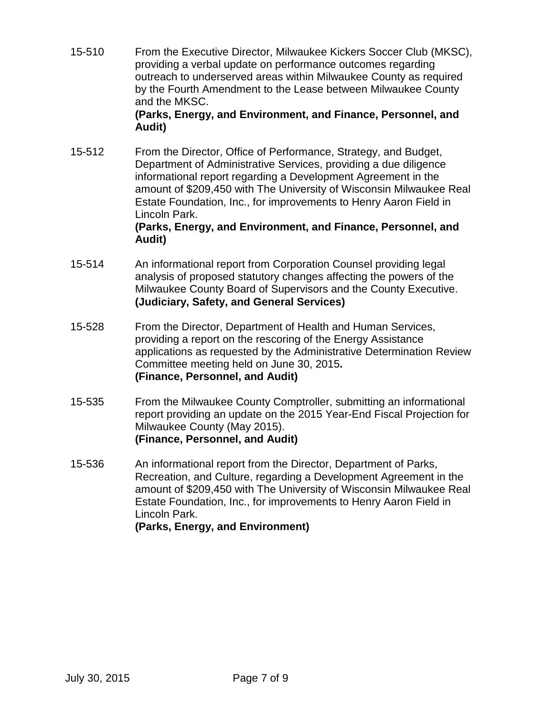15-510 From the Executive Director, Milwaukee Kickers Soccer Club (MKSC), providing a verbal update on performance outcomes regarding outreach to underserved areas within Milwaukee County as required by the Fourth Amendment to the Lease between Milwaukee County and the MKSC.

#### **(Parks, Energy, and Environment, and Finance, Personnel, and Audit)**

15-512 From the Director, Office of Performance, Strategy, and Budget, Department of Administrative Services, providing a due diligence informational report regarding a Development Agreement in the amount of \$209,450 with The University of Wisconsin Milwaukee Real Estate Foundation, Inc., for improvements to Henry Aaron Field in Lincoln Park.

#### **(Parks, Energy, and Environment, and Finance, Personnel, and Audit)**

- 15-514 An informational report from Corporation Counsel providing legal analysis of proposed statutory changes affecting the powers of the Milwaukee County Board of Supervisors and the County Executive. **(Judiciary, Safety, and General Services)**
- 15-528 From the Director, Department of Health and Human Services, providing a report on the rescoring of the Energy Assistance applications as requested by the Administrative Determination Review Committee meeting held on June 30, 2015**. (Finance, Personnel, and Audit)**
- 15-535 From the Milwaukee County Comptroller, submitting an informational report providing an update on the 2015 Year-End Fiscal Projection for Milwaukee County (May 2015). **(Finance, Personnel, and Audit)**
- 15-536 An informational report from the Director, Department of Parks, Recreation, and Culture, regarding a Development Agreement in the amount of \$209,450 with The University of Wisconsin Milwaukee Real Estate Foundation, Inc., for improvements to Henry Aaron Field in Lincoln Park. **(Parks, Energy, and Environment)**

July 30, 2015 Page 7 of 9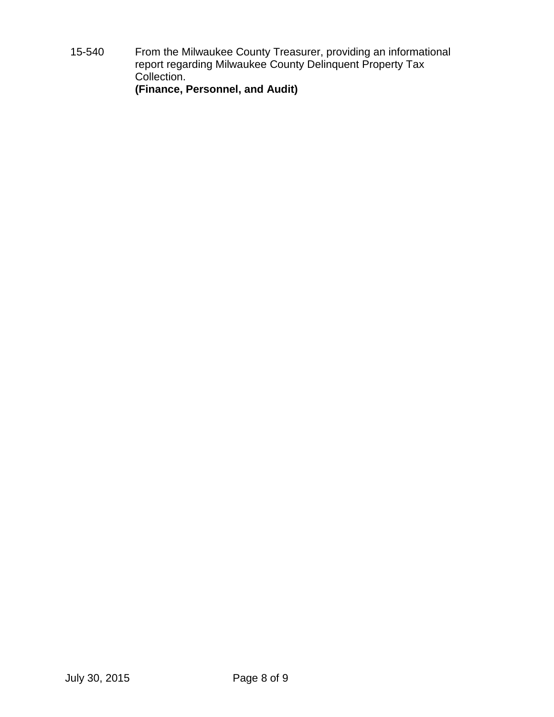15-540 From the Milwaukee County Treasurer, providing an informational report regarding Milwaukee County Delinquent Property Tax Collection. **(Finance, Personnel, and Audit)**